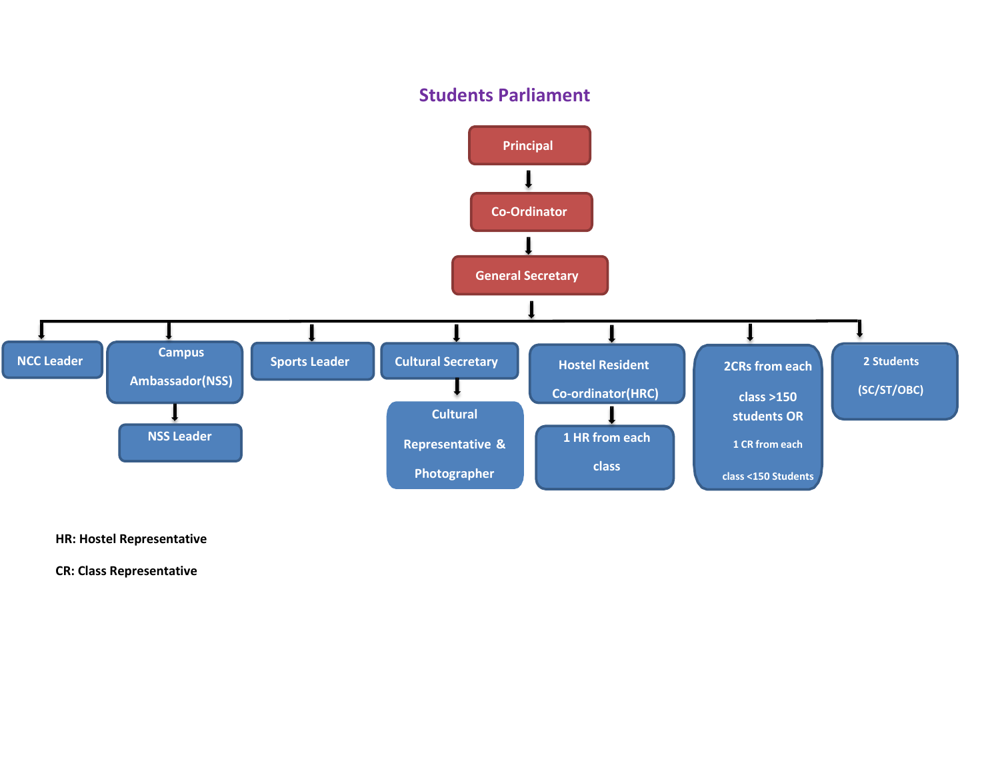## **Students Parliament**



**HR: Hostel Representative**

**CR: Class Representative**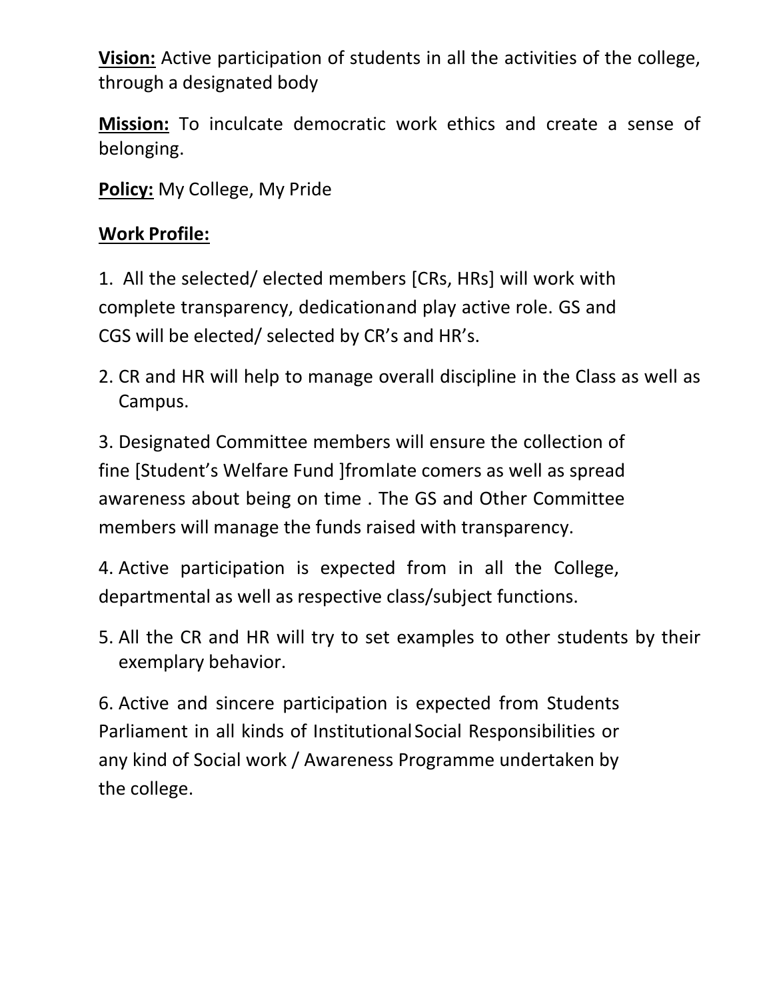**Vision:** Active participation of students in all the activities of the college, through a designated body

**Mission:** To inculcate democratic work ethics and create a sense of belonging.

**Policy:** My College, My Pride

# **Work Profile:**

1. All the selected/ elected members [CRs, HRs] will work with complete transparency, dedicationand play active role. GS and CGS will be elected/ selected by CR's and HR's.

2. CR and HR will help to manage overall discipline in the Class as well as Campus.

3. Designated Committee members will ensure the collection of fine [Student's Welfare Fund ]fromlate comers as well as spread awareness about being on time . The GS and Other Committee members will manage the funds raised with transparency.

4. Active participation is expected from in all the College, departmental as well as respective class/subject functions.

5. All the CR and HR will try to set examples to other students by their exemplary behavior.

6. Active and sincere participation is expected from Students Parliament in all kinds of Institutional Social Responsibilities or any kind of Social work / Awareness Programme undertaken by the college.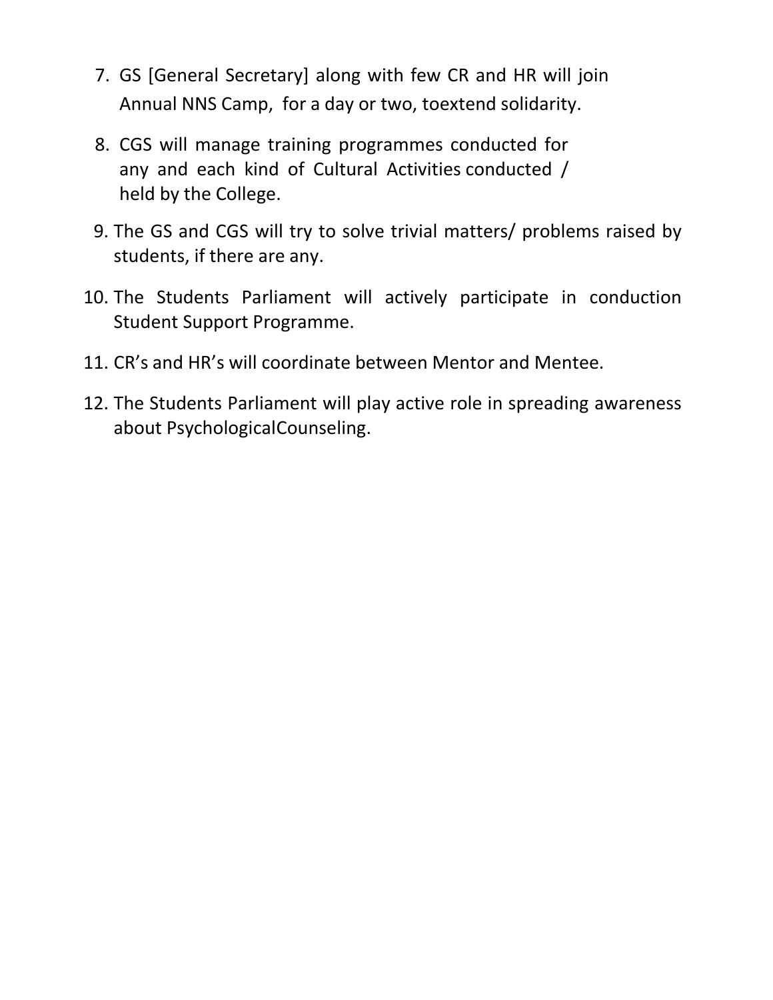- 7. GS [General Secretary] along with few CR and HR will join Annual NNS Camp, for a day or two, toextend solidarity.
- 8. CGS will manage training programmes conducted for any and each kind of Cultural Activities conducted / held by the College.
- 9. The GS and CGS will try to solve trivial matters/ problems raised by students, if there are any.
- 10. The Students Parliament will actively participate in conduction Student Support Programme.
- 11. CR's and HR's will coordinate between Mentor and Mentee.
- 12. The Students Parliament will play active role in spreading awareness about PsychologicalCounseling.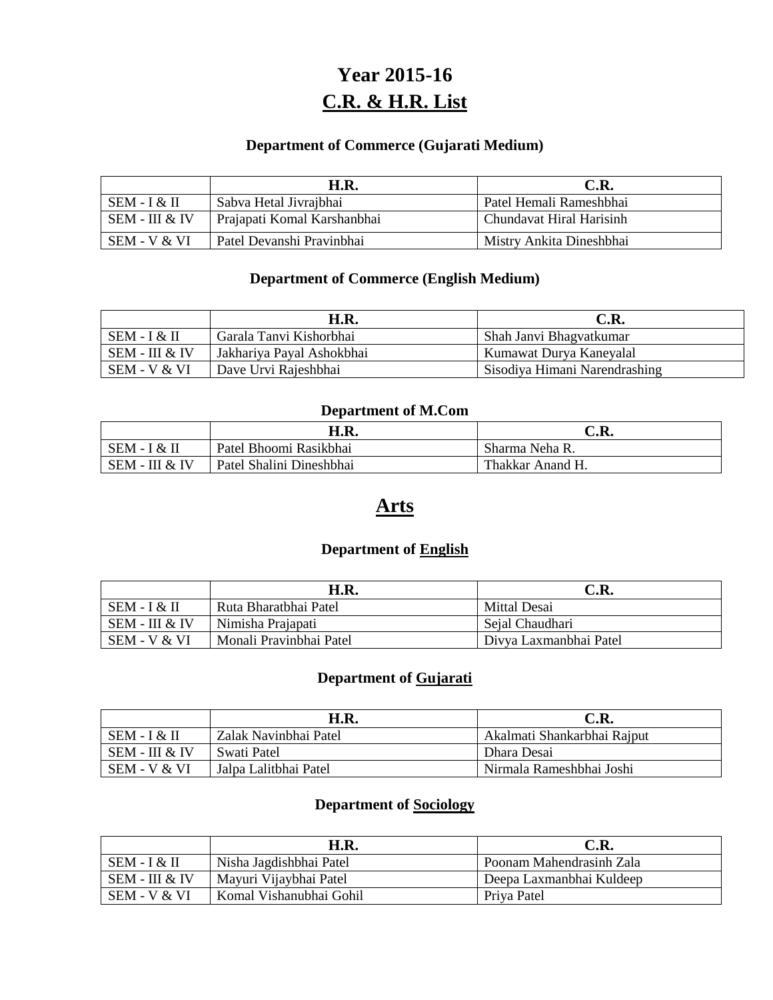# **Year 2015-16 C.R. & H.R. List**

#### **Department of Commerce (Gujarati Medium)**

|                  | H.R.                        | C.R.                       |
|------------------|-----------------------------|----------------------------|
| $SEM - I & H$    | Sabva Hetal Jivrajbhai      | Patel Hemali Rameshbhai    |
| $SEM - III & IV$ | Prajapati Komal Karshanbhai | l Chundavat Hiral Harisinh |
| $SEM - V & VI$   | Patel Devanshi Pravinbhai   | Mistry Ankita Dineshbhai   |

#### **Department of Commerce (English Medium)**

|                | H.R.                      | C.R.                          |
|----------------|---------------------------|-------------------------------|
| SEM - I & II   | Garala Tanvi Kishorbhai   | Shah Janvi Bhagyatkumar       |
| SEM - III & IV | Jakhariya Payal Ashokbhai | Kumawat Durya Kaneyalal       |
| SEM - V & VI   | Dave Urvi Rajeshbhai      | Sisodiya Himani Narendrashing |

#### **Department of M.Com**

|                | H.R.                     | C.R.             |
|----------------|--------------------------|------------------|
| $SEM - I & H$  | Patel Bhoomi Rasikbhai   | Sharma Neha R.   |
| SEM - III & IV | Patel Shalini Dineshbhai | Thakkar Anand H. |

## **Arts**

#### **Department of English**

|                  | H.R.                    | C.R.                   |
|------------------|-------------------------|------------------------|
| $SEM - I & H$    | Ruta Bharatbhai Patel   | Mittal Desai           |
| $SEM - III & IV$ | Nimisha Prajapati       | Sejal Chaudhari        |
| SEM - V & VI     | Monali Pravinbhai Patel | Divya Laxmanbhai Patel |

### **Department of Gujarati**

|                | H.R.                  | C.R.                        |
|----------------|-----------------------|-----------------------------|
| $SEM - I & H$  | Zalak Navinbhai Patel | Akalmati Shankarbhai Rajput |
| SEM - III & IV | Swati Patel           | Dhara Desai                 |
| $SEM - V & VI$ | Jalpa Lalithhai Patel | Nirmala Rameshbhai Joshi    |

#### **Department of Sociology**

|                | H.R.                    | C.R.                     |
|----------------|-------------------------|--------------------------|
| $SEM - I & H$  | Nisha Jagdishbhai Patel | Poonam Mahendrasinh Zala |
| SEM - III & IV | Mayuri Vijaybhai Patel  | Deepa Laxmanbhai Kuldeep |
| SEM - V & VI   | Komal Vishanubhai Gohil | Priva Patel              |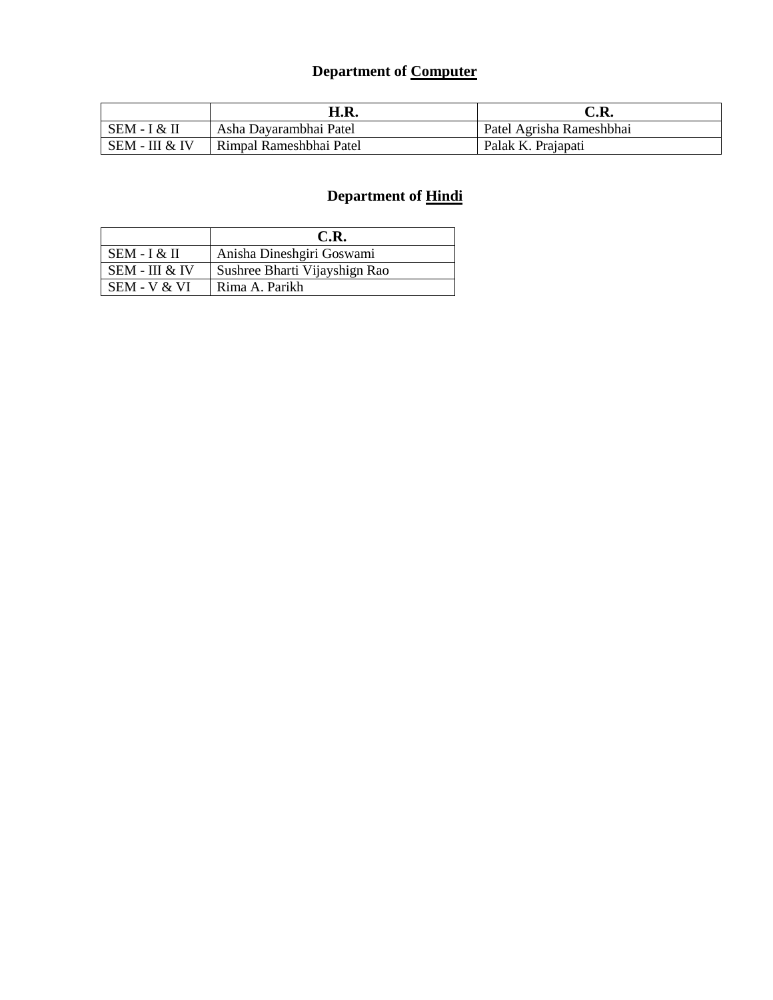# **Department of Computer**

|                | H.R.                    | C.R.                     |
|----------------|-------------------------|--------------------------|
| $SEM - I & H$  | Asha Dayarambhai Patel  | Patel Agrisha Rameshbhai |
| SEM - III & IV | Rimpal Rameshbhai Patel | Palak K. Prajapati       |

|                | C.R.                          |
|----------------|-------------------------------|
| SEM - I & II   | Anisha Dineshgiri Goswami     |
| SEM - III & IV | Sushree Bharti Vijayshign Rao |
| SEM - V & VI   | Rima A. Parikh                |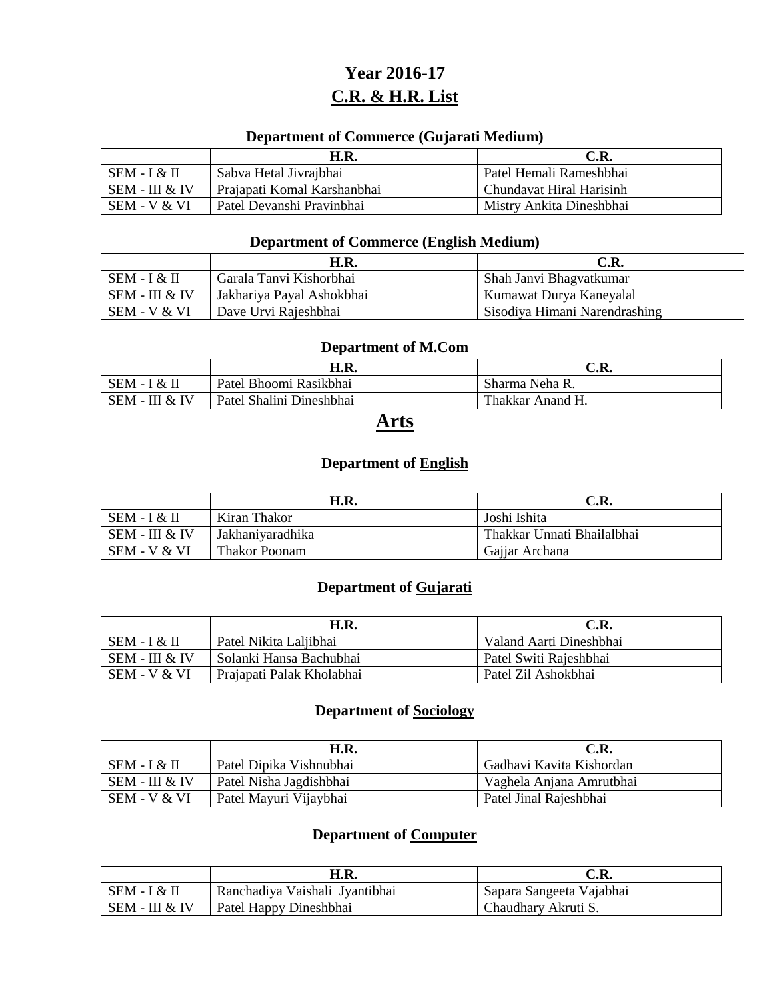# **Year 2016-17 C.R. & H.R. List**

#### **Department of Commerce (Gujarati Medium)**

|                  | <b>H.R.</b>                 | C.R.                     |
|------------------|-----------------------------|--------------------------|
| $SEM - I & H$    | Sabva Hetal Jivrajbhai      | Patel Hemali Rameshbhai  |
| $SEM - III & IV$ | Prajapati Komal Karshanbhai | Chundavat Hiral Harisinh |
| $SEM - V & VI$   | Patel Devanshi Pravinbhai   | Mistry Ankita Dineshbhai |

#### **Department of Commerce (English Medium)**

|                | H.R.                      | C.R.                          |
|----------------|---------------------------|-------------------------------|
| $SEM - I & H$  | Garala Tanvi Kishorbhai   | Shah Janvi Bhagvatkumar       |
| SEM - III & IV | Jakhariya Payal Ashokbhai | Kumawat Durya Kaneyalal       |
| SEM - V & VI   | Dave Urvi Rajeshbhai      | Sisodiya Himani Narendrashing |

#### **Department of M.Com**

|                | H.R.                     | C.R.             |
|----------------|--------------------------|------------------|
| SEM - I & II   | Patel Bhoomi Rasikbhai   | Sharma Neha R.   |
| SEM - III & IV | Patel Shalini Dineshbhai | Thakkar Anand H. |

## **Arts**

### **Department of English**

|                | H.R.             | C.R.                       |
|----------------|------------------|----------------------------|
| SEM - I & II   | Kiran Thakor     | Joshi Ishita               |
| SEM - III & IV | Jakhaniyaradhika | Thakkar Unnati Bhailalbhai |
| SEM - V & VI   | Thakor Poonam    | Gajjar Archana             |

### **Department of Gujarati**

|                | H.R.                      | C.R.                    |
|----------------|---------------------------|-------------------------|
| $SEM - I & H$  | Patel Nikita Laljibhai    | Valand Aarti Dineshbhai |
| SEM - III & IV | . Solanki Hansa Bachubhai | Patel Switi Rajeshbhai  |
| SEM - V & VI   | Prajapati Palak Kholabhai | Patel Zil Ashokbhai     |

#### **Department of Sociology**

|                | <b>H.R.</b>             | C.R.                     |
|----------------|-------------------------|--------------------------|
| $SEM - I & H$  | Patel Dipika Vishnubhai | Gadhavi Kavita Kishordan |
| SEM - III & IV | Patel Nisha Jagdishbhai | Vaghela Anjana Amrutbhai |
| SEM - V & VI   | Patel Mayuri Vijaybhai  | Patel Jinal Rajeshbhai   |

### **Department of Computer**

|                | H.R.                           | C.R.                     |
|----------------|--------------------------------|--------------------------|
| – SEM - I & II | Ranchadiya Vaishali Jyantibhai | Sapara Sangeeta Vajabhai |
| SEM - III & IV | Patel Happy Dineshbhai         | Chaudhary Akruti S.      |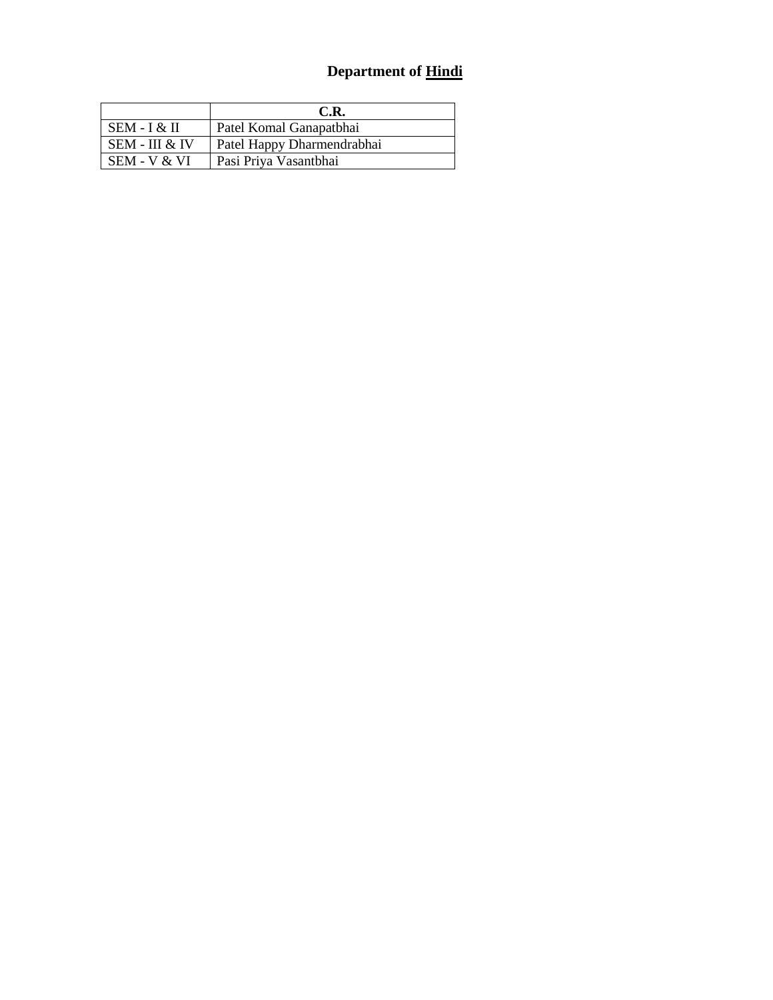|                | C.R.                       |
|----------------|----------------------------|
| SEM - I & II   | Patel Komal Ganapatbhai    |
| SEM - III & IV | Patel Happy Dharmendrabhai |
| SEM - V & VI   | Pasi Priya Vasantbhai      |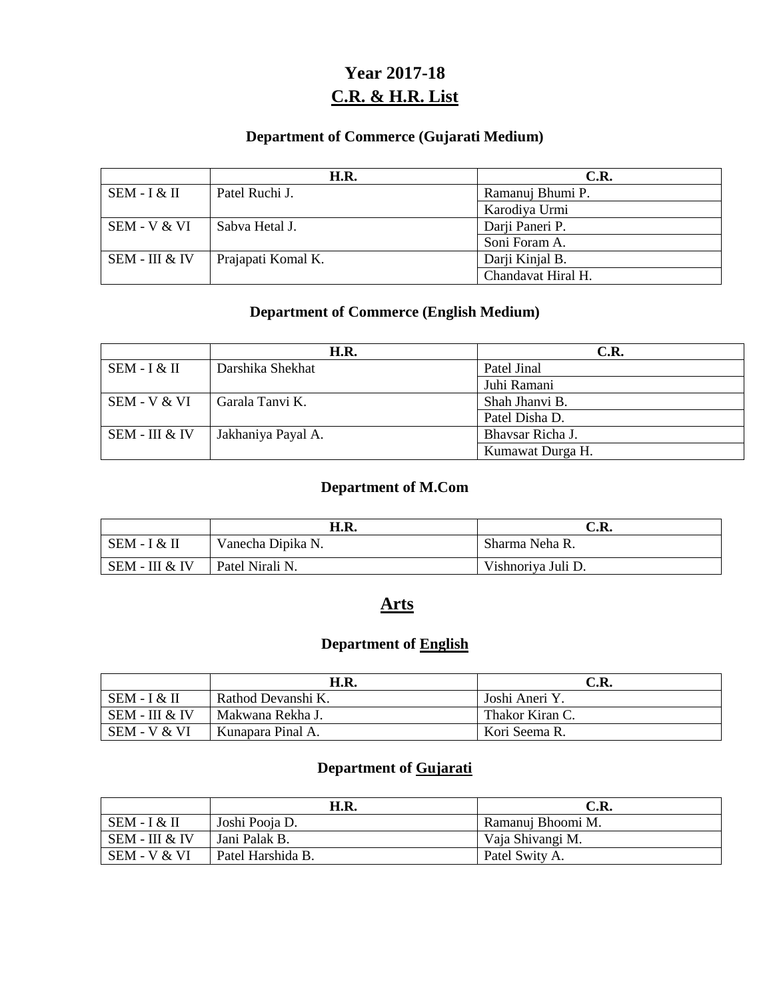# **Year 2017-18 C.R. & H.R. List**

### **Department of Commerce (Gujarati Medium)**

|                | H.R.               | C.R.               |
|----------------|--------------------|--------------------|
| $SEM - I & H$  | Patel Ruchi J.     | Ramanuj Bhumi P.   |
|                |                    | Karodiya Urmi      |
| SEM - V & VI   | Sabva Hetal J.     | Darji Paneri P.    |
|                |                    | Soni Foram A.      |
| SEM - III & IV | Prajapati Komal K. | Darji Kinjal B.    |
|                |                    | Chandavat Hiral H. |

#### **Department of Commerce (English Medium)**

|                | <b>H.R.</b>        | C.R.             |
|----------------|--------------------|------------------|
| SEM - I & II   | Darshika Shekhat   | Patel Jinal      |
|                |                    | Juhi Ramani      |
| SEM - V & VI   | Garala Tanvi K.    | Shah Jhanvi B.   |
|                |                    | Patel Disha D.   |
| SEM - III & IV | Jakhaniya Payal A. | Bhavsar Richa J. |
|                |                    | Kumawat Durga H. |

#### **Department of M.Com**

|                | H.R.              | C.R.               |
|----------------|-------------------|--------------------|
| SEM - I & II   | Vanecha Dipika N. | Sharma Neha R.     |
| SEM - III & IV | Patel Nirali N.   | Vishnoriya Juli D. |

#### **Arts**

### **Department of English**

|                | <b>H.R.</b>        | C.R.              |
|----------------|--------------------|-------------------|
| SEM - I & II   | Rathod Devanshi K. | Joshi Aneri Y.    |
| SEM - III & IV | Makwana Rekha J.   | l Thakor Kiran C. |
| $SEM - V & VI$ | Kunapara Pinal A.  | Kori Seema R.     |

### **Department of Gujarati**

|                | H.R.              | C.R.              |
|----------------|-------------------|-------------------|
| SEM - I & II   | Joshi Pooja D.    | Ramanuj Bhoomi M. |
| SEM - III & IV | Jani Palak B.     | Vaja Shivangi M.  |
| SEM - V & VI   | Patel Harshida B. | Patel Swity A.    |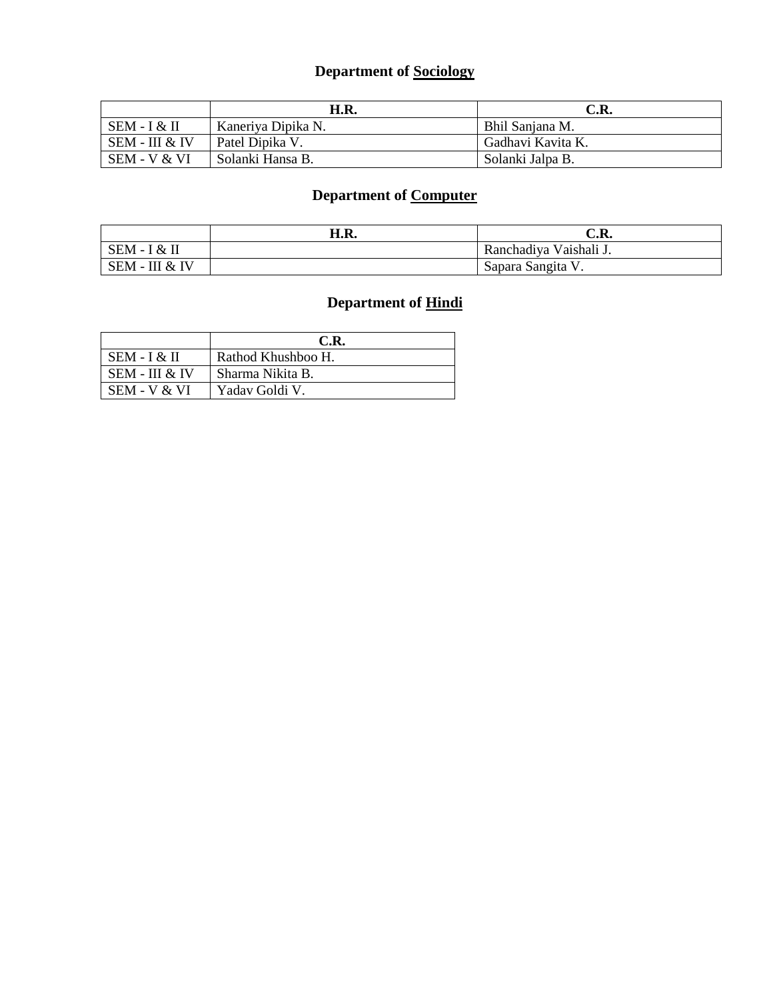# **Department of Sociology**

|                | H.R.               | C.R.              |
|----------------|--------------------|-------------------|
| $SEM - I & H$  | Kaneriya Dipika N. | Bhil Sanjana M.   |
| SEM - III & IV | Patel Dipika V.    | Gadhavi Kavita K. |
| SEM - V & VI   | Solanki Hansa B.   | Solanki Jalpa B.  |

### **Department of Computer**

|                  | H.R. | C.R.                   |
|------------------|------|------------------------|
| SEM - I<br>I & H |      | Ranchadiya Vaishali J. |
| SEM - III & IV   |      | Sapara Sangita V.      |

|                | C.R.               |
|----------------|--------------------|
| SEM - I & II   | Rathod Khushboo H. |
| SEM - III & IV | Sharma Nikita B.   |
| SEM - V & VI   | Yaday Goldi V.     |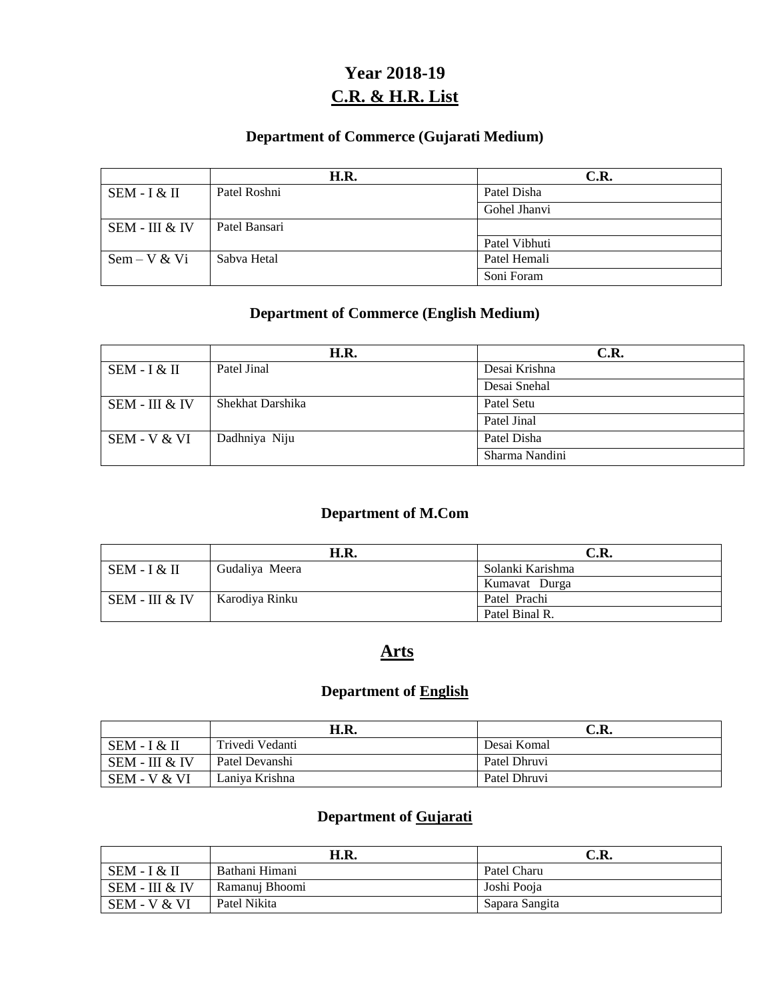# **Year 2018-19 C.R. & H.R. List**

### **Department of Commerce (Gujarati Medium)**

|                | H.R.          | C.R.          |
|----------------|---------------|---------------|
| SEM - I & II   | Patel Roshni  | Patel Disha   |
|                |               | Gohel Jhanvi  |
| SEM - III & IV | Patel Bansari |               |
|                |               | Patel Vibhuti |
| $Sem - V & V$  | Sabva Hetal   | Patel Hemali  |
|                |               | Soni Foram    |

#### **Department of Commerce (English Medium)**

|                | H.R.             | C.R.           |
|----------------|------------------|----------------|
| SEM - I & II   | Patel Jinal      | Desai Krishna  |
|                |                  | Desai Snehal   |
| SEM - III & IV | Shekhat Darshika | Patel Setu     |
|                |                  | Patel Jinal    |
| SEM - V & VI   | Dadhniya Niju    | Patel Disha    |
|                |                  | Sharma Nandini |

### **Department of M.Com**

|                | H.R.           | C.R.             |
|----------------|----------------|------------------|
| $SEM - I & H$  | Gudaliya Meera | Solanki Karishma |
|                |                | Kumavat Durga    |
| SEM - III & IV | Karodiya Rinku | Patel Prachi     |
|                |                | Patel Binal R.   |

## **Arts**

### **Department of English**

|                | H.R.            | C.R.         |
|----------------|-----------------|--------------|
| SEM - I & II   | Trivedi Vedanti | Desai Komal  |
| SEM - III & IV | Patel Devanshi  | Patel Dhruvi |
| SEM - V & VI   | Laniva Krishna  | Patel Dhruvi |

### **Department of Gujarati**

|                | H.R.           | C.R.           |
|----------------|----------------|----------------|
| SEM - I & II   | Bathani Himani | Patel Charu    |
| SEM - III & IV | Ramanuj Bhoomi | Joshi Pooja    |
| SEM - V & VI   | Patel Nikita   | Sapara Sangita |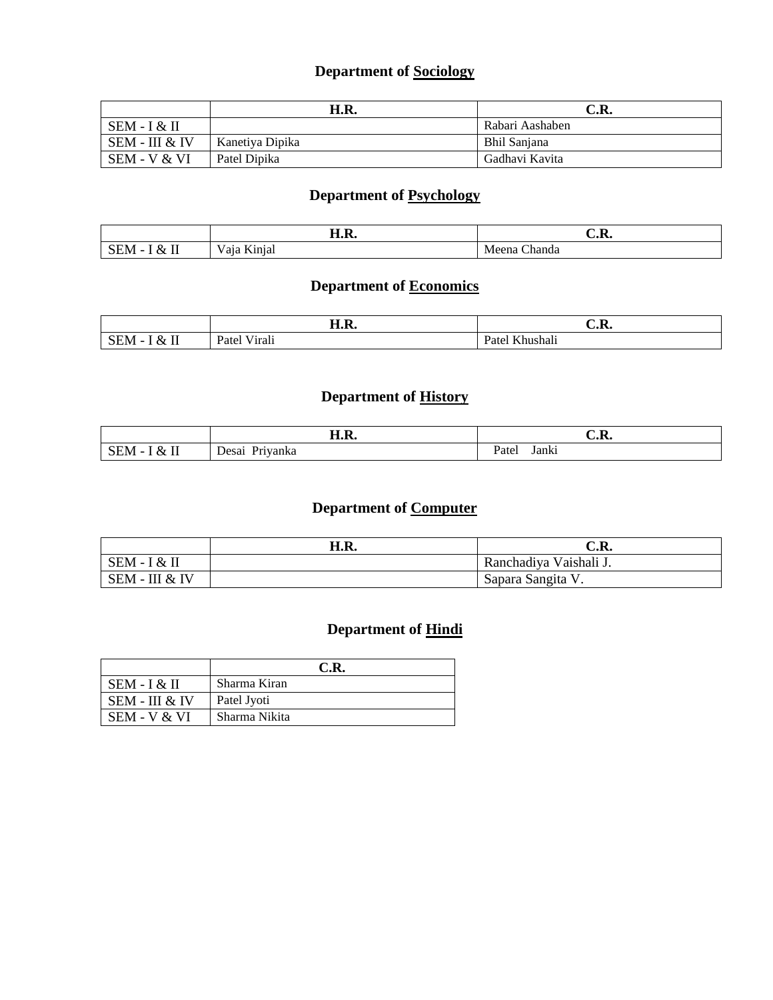### **Department of Sociology**

|                  | H.R.            | C.R.            |
|------------------|-----------------|-----------------|
| $SEM - I & H$    |                 | Rabari Aashaben |
| $SEM - III & IV$ | Kanetiva Dipika | Bhil Sanjana    |
| SEM - V & VI     | Patel Dipika    | Gadhavi Kavita  |

### **Department of Psychology**

|                                                                                                                                                                                                                                                                                               | TT T<br>. .<br>п.к.              | ∪.r.             |
|-----------------------------------------------------------------------------------------------------------------------------------------------------------------------------------------------------------------------------------------------------------------------------------------------|----------------------------------|------------------|
| $-$<br>$X_{\mathcal{T}}$<br>в <i>п</i><br>עו<br><br>$  -$<br>$\mathbf{r}$ , and the set of the set of the set of the set of the set of the set of the set of the set of the set of the set of the set of the set of the set of the set of the set of the set of the set of the set of the set | $- - -$<br>101<br>a.<br>1.11.Iul | handa<br>ιa<br>. |

# **Department of Economics**

|                                                                             | H.R.           | n<br>U.N.                               |
|-----------------------------------------------------------------------------|----------------|-----------------------------------------|
| $-$<br>$\chi_{7}$<br>'N/L<br>്പപ്പ<br>$\tilde{\phantom{a}}$<br>$\mathbf{H}$ | Viran<br>Patel | T/T1<br>$\cdots$<br>Patel<br>` Khushalı |

### **Department of History**

|                                                              | TT T<br>п.к.   | $\cap$ ת<br>U.N. |
|--------------------------------------------------------------|----------------|------------------|
| $\mathbf{I}$<br>SEM<br>&<br>$\overline{\phantom{0}}$<br>$ -$ | Desai Priyanka | Janki<br>Patei   |

### **Department of Computer**

|                            | H.R. | $\sim$ D<br>U.K.                    |
|----------------------------|------|-------------------------------------|
| $SEM - I & H$              |      | Ranchadiva<br>a Vaishali <b>J</b> . |
| . - III & IV<br><b>SEM</b> |      | Sapara Sangita V.                   |

|                  | C.R.          |
|------------------|---------------|
| SEM - I & II     | Sharma Kiran  |
| $SEM - III & IV$ | Patel Jyoti   |
| SEM - V & VI     | Sharma Nikita |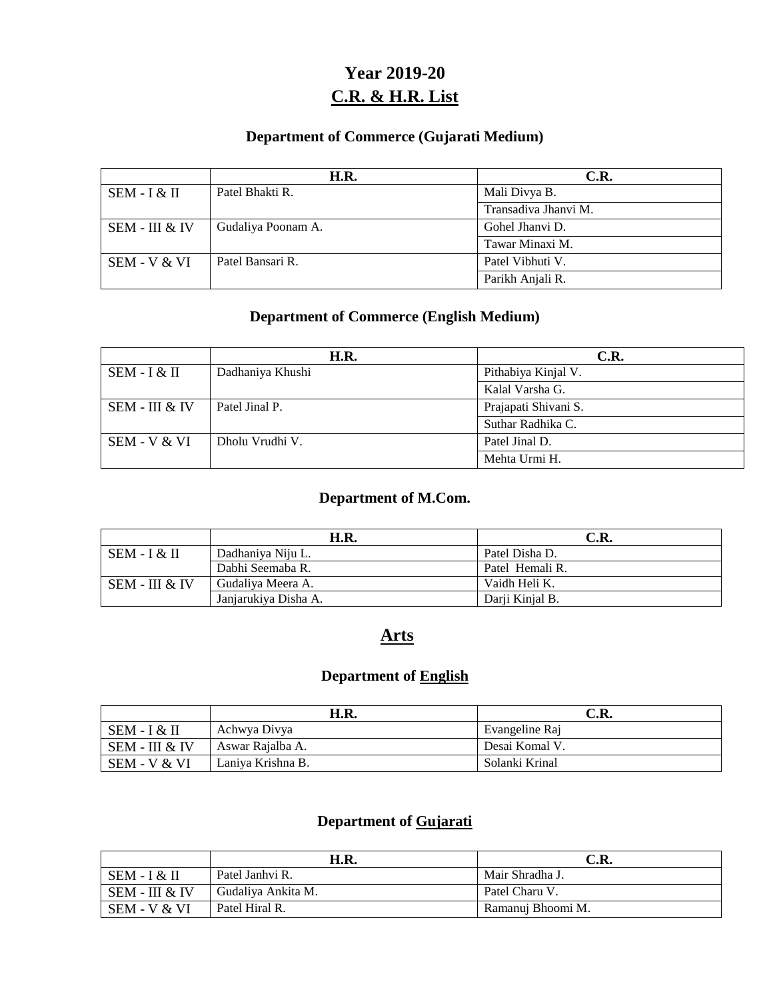# **Year 2019-20 C.R. & H.R. List**

#### **Department of Commerce (Gujarati Medium)**

|                | H.R.               | C.R.                 |
|----------------|--------------------|----------------------|
| $SEM - I & H$  | Patel Bhakti R.    | Mali Divya B.        |
|                |                    | Transadiva Jhanvi M. |
| SEM - III & IV | Gudaliya Poonam A. | Gohel Jhanvi D.      |
|                |                    | Tawar Minaxi M.      |
| SEM - V & VI   | Patel Bansari R.   | Patel Vibhuti V.     |
|                |                    | Parikh Anjali R.     |

### **Department of Commerce (English Medium)**

|                | H.R.             | C.R.                 |
|----------------|------------------|----------------------|
| $SEM - I & H$  | Dadhaniya Khushi | Pithabiya Kinjal V.  |
|                |                  | Kalal Varsha G.      |
| SEM - III & IV | Patel Jinal P.   | Prajapati Shivani S. |
|                |                  | Suthar Radhika C.    |
| SEM - V & VI   | Dholu Vrudhi V.  | Patel Jinal D.       |
|                |                  | Mehta Urmi H.        |

#### **Department of M.Com.**

|                  | H.R.                 | C.R.            |
|------------------|----------------------|-----------------|
| $SEM - I & H$    | Dadhaniya Niju L.    | Patel Disha D.  |
|                  | Dabhi Seemaba R.     | Patel Hemali R. |
| $SEM - III & IV$ | Gudaliya Meera A.    | Vaidh Heli K.   |
|                  | Janjarukiya Disha A. | Darji Kinjal B. |

## **Arts**

### **Department of English**

|                | H.R.              | C.R.           |
|----------------|-------------------|----------------|
| SEM - I & II   | Achwya Divya      | Evangeline Raj |
| SEM - III & IV | Aswar Rajalba A.  | Desai Komal V. |
| SEM - V & VI   | Laniya Krishna B. | Solanki Krinal |

### **Department of Gujarati**

|                | H.R.               | C.R.              |
|----------------|--------------------|-------------------|
| $SEM - I & H$  | Patel Janhyi R.    | Mair Shradha J.   |
| SEM - III & IV | Gudaliya Ankita M. | Patel Charu V.    |
| SEM - V & VI   | Patel Hiral R.     | Ramanuj Bhoomi M. |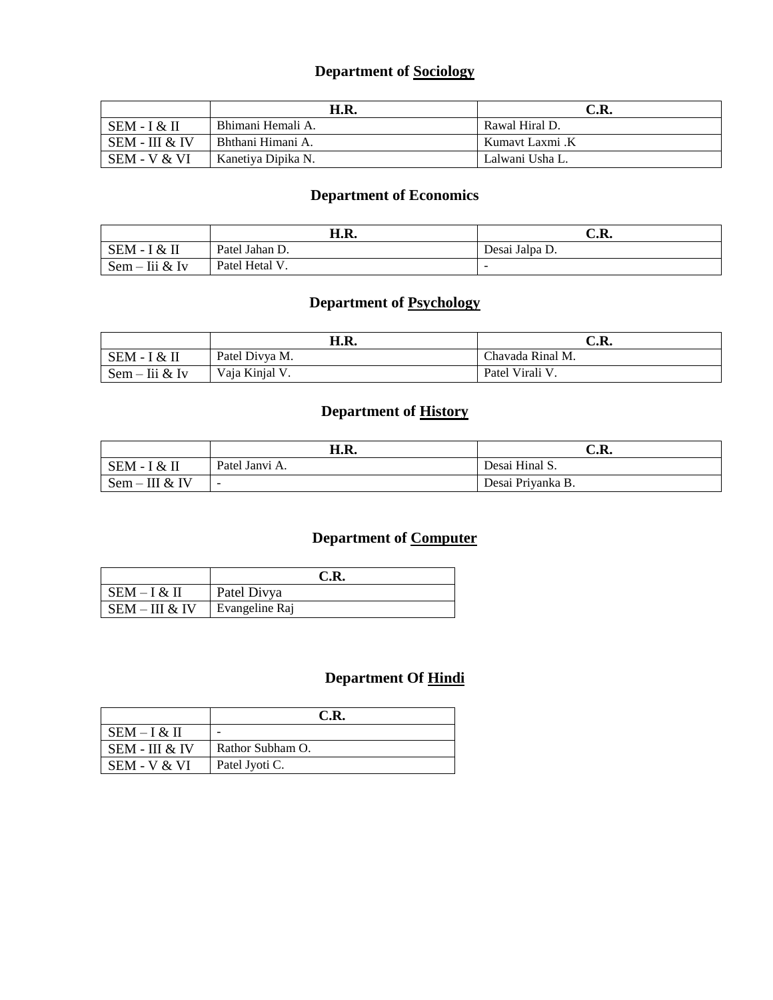## **Department of Sociology**

|                | H.R.               | C.R.            |
|----------------|--------------------|-----------------|
| $SEM - I & H$  | Bhimani Hemali A.  | Rawal Hiral D.  |
| SEM - III & IV | Bhthani Himani A.  | Kumavt Laxmi .K |
| SEM - V & VI   | Kanetiya Dipika N. | Lalwani Usha L. |

### **Department of Economics**

|                         | H.R.           | C.R.                     |
|-------------------------|----------------|--------------------------|
| $SEM -$<br>$\propto$ II | Patel Jahan D. | Desai Jalpa D.           |
| lii & Iv<br>$Sem -$     | Patel Hetal V  | $\overline{\phantom{a}}$ |

### **Department of Psychology**

|                       | H.R.           | C.R.             |
|-----------------------|----------------|------------------|
| SEM - I<br>I & H      | Patel Divya M. | Chavada Rinal M. |
| ∙ Iii & Iv<br>$Sem -$ | Vaja Kinjal V. | Patel Virali V.  |

### **Department of History**

|                  | H.R.                     | C.R.              |
|------------------|--------------------------|-------------------|
| SEM - I & II     | Patel Janvi A.           | Desai Hinal S.    |
| $Sem - III & IV$ | $\overline{\phantom{0}}$ | Desai Priyanka B. |

# **Department of Computer**

|                | C.R.           |
|----------------|----------------|
| $SEM - I & II$ | Patel Divya    |
| SEM – III & IV | Evangeline Raj |

|                | C.R.             |
|----------------|------------------|
| $SEM - I & H$  |                  |
| SEM - III & IV | Rathor Subham O. |
| SEM - V & VI   | Patel Jyoti C.   |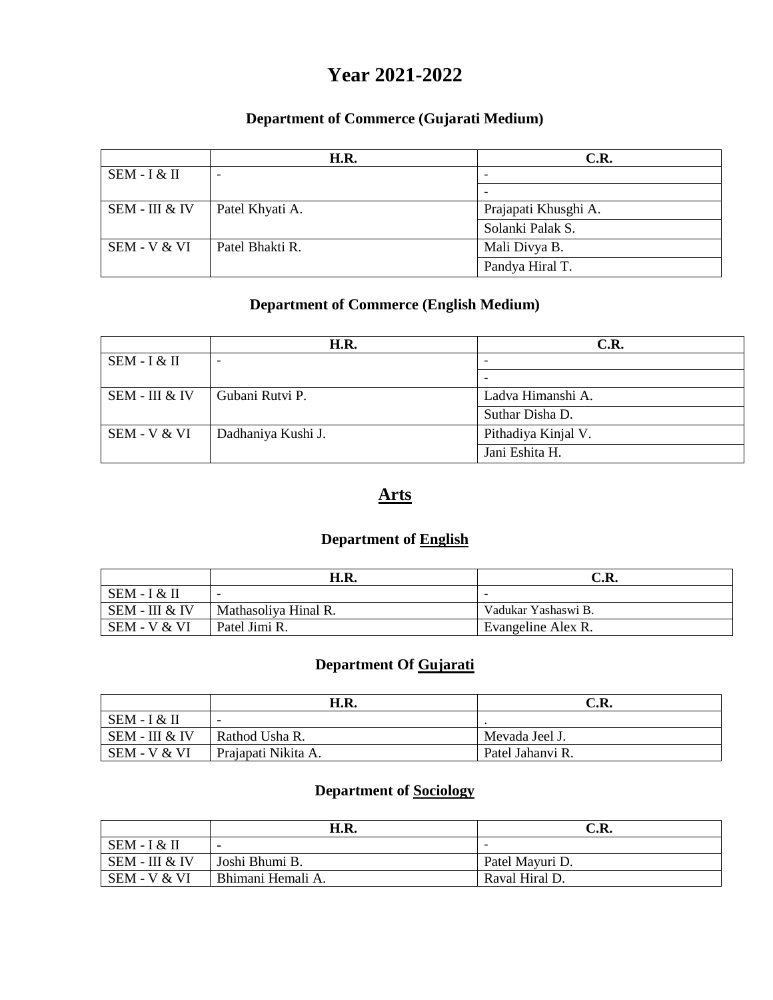# **Year 2021-2022**

#### **Department of Commerce (Gujarati Medium)**

|                | H.R.                     | C.R.                     |
|----------------|--------------------------|--------------------------|
| $SEM - I & H$  | $\overline{\phantom{0}}$ | $\overline{\phantom{a}}$ |
|                |                          | $\overline{\phantom{0}}$ |
| SEM - III & IV | Patel Khyati A.          | Prajapati Khusghi A.     |
|                |                          | Solanki Palak S.         |
| SEM - V & VI   | Patel Bhakti R.          | Mali Divya B.            |
|                |                          | Pandya Hiral T.          |

#### **Department of Commerce (English Medium)**

|                | H.R.               | C.R.                |
|----------------|--------------------|---------------------|
| $SEM - I & H$  |                    |                     |
|                |                    | -                   |
| SEM - III & IV | Gubani Rutvi P.    | Ladva Himanshi A.   |
|                |                    | Suthar Disha D.     |
| SEM - V & VI   | Dadhaniya Kushi J. | Pithadiya Kinjal V. |
|                |                    | Jani Eshita H.      |

## **Arts**

### **Department of English**

|                | H.R.                 | C.R.                |
|----------------|----------------------|---------------------|
| SEM - I & II   |                      |                     |
| SEM - III & IV | Mathasoliya Hinal R. | Vadukar Yashaswi B. |
| SEM - V & VI   | Patel Jimi R.        | Evangeline Alex R.  |

# **Department Of Gujarati**

|                | H.R.                     | C.R.             |
|----------------|--------------------------|------------------|
| SEM - I & II   | $\overline{\phantom{0}}$ |                  |
| SEM - III & IV | Rathod Usha R.           | Mevada Jeel J.   |
| SEM - V & VI   | Prajapati Nikita A.      | Patel Jahanyi R. |

#### **Department of Sociology**

|                  | H.R.                     | C.R.                     |
|------------------|--------------------------|--------------------------|
| $SEM - I & H$    | $\overline{\phantom{0}}$ | $\overline{\phantom{a}}$ |
| $SEM - III & IV$ | Joshi Bhumi B.           | Patel Mayuri D.          |
| SEM - V & VI     | Bhimani Hemali A.        | Raval Hiral D.           |